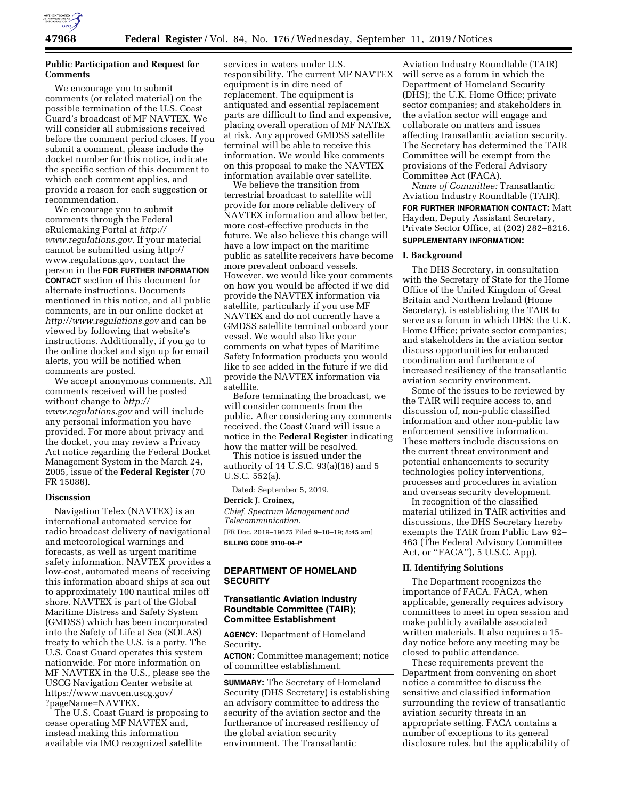

# **Public Participation and Request for Comments**

We encourage you to submit comments (or related material) on the possible termination of the U.S. Coast Guard's broadcast of MF NAVTEX. We will consider all submissions received before the comment period closes. If you submit a comment, please include the docket number for this notice, indicate the specific section of this document to which each comment applies, and provide a reason for each suggestion or recommendation.

We encourage you to submit comments through the Federal eRulemaking Portal at *[http://](http://www.regulations.gov) [www.regulations.gov.](http://www.regulations.gov)* If your material cannot be submitted using [http://](http://www.regulations.gov) [www.regulations.gov,](http://www.regulations.gov) contact the person in the **FOR FURTHER INFORMATION CONTACT** section of this document for alternate instructions. Documents mentioned in this notice, and all public comments, are in our online docket at *<http://www.regulations.gov>* and can be viewed by following that website's instructions. Additionally, if you go to the online docket and sign up for email alerts, you will be notified when comments are posted.

We accept anonymous comments. All comments received will be posted without change to *[http://](http://www.regulations.gov) [www.regulations.gov](http://www.regulations.gov)* and will include any personal information you have provided. For more about privacy and the docket, you may review a Privacy Act notice regarding the Federal Docket Management System in the March 24, 2005, issue of the **Federal Register** (70 FR 15086).

#### **Discussion**

Navigation Telex (NAVTEX) is an international automated service for radio broadcast delivery of navigational and meteorological warnings and forecasts, as well as urgent maritime safety information. NAVTEX provides a low-cost, automated means of receiving this information aboard ships at sea out to approximately 100 nautical miles off shore. NAVTEX is part of the Global Maritime Distress and Safety System (GMDSS) which has been incorporated into the Safety of Life at Sea (SOLAS) treaty to which the U.S. is a party. The U.S. Coast Guard operates this system nationwide. For more information on MF NAVTEX in the U.S., please see the USCG Navigation Center website at [https://www.navcen.uscg.gov/](https://www.navcen.uscg.gov/?pageName=NAVTEX)  [?pageName=NAVTEX.](https://www.navcen.uscg.gov/?pageName=NAVTEX) 

The U.S. Coast Guard is proposing to cease operating MF NAVTEX and, instead making this information available via IMO recognized satellite

services in waters under U.S. responsibility. The current MF NAVTEX equipment is in dire need of replacement. The equipment is antiquated and essential replacement parts are difficult to find and expensive, placing overall operation of MF NATEX at risk. Any approved GMDSS satellite terminal will be able to receive this information. We would like comments on this proposal to make the NAVTEX information available over satellite.

We believe the transition from terrestrial broadcast to satellite will provide for more reliable delivery of NAVTEX information and allow better, more cost-effective products in the future. We also believe this change will have a low impact on the maritime public as satellite receivers have become more prevalent onboard vessels. However, we would like your comments on how you would be affected if we did provide the NAVTEX information via satellite, particularly if you use MF NAVTEX and do not currently have a GMDSS satellite terminal onboard your vessel. We would also like your comments on what types of Maritime Safety Information products you would like to see added in the future if we did provide the NAVTEX information via satellite.

Before terminating the broadcast, we will consider comments from the public. After considering any comments received, the Coast Guard will issue a notice in the **Federal Register** indicating how the matter will be resolved.

This notice is issued under the authority of 14 U.S.C. 93(a)(16) and 5 U.S.C. 552(a).

Dated: September 5, 2019.

#### **Derrick J. Croinex,**

*Chief, Spectrum Management and Telecommunication.* 

[FR Doc. 2019–19675 Filed 9–10–19; 8:45 am] **BILLING CODE 9110–04–P** 

# **DEPARTMENT OF HOMELAND SECURITY**

### **Transatlantic Aviation Industry Roundtable Committee (TAIR); Committee Establishment**

**AGENCY:** Department of Homeland Security.

**ACTION:** Committee management; notice of committee establishment.

**SUMMARY:** The Secretary of Homeland Security (DHS Secretary) is establishing an advisory committee to address the security of the aviation sector and the furtherance of increased resiliency of the global aviation security environment. The Transatlantic

Aviation Industry Roundtable (TAIR) will serve as a forum in which the Department of Homeland Security (DHS); the U.K. Home Office; private sector companies; and stakeholders in the aviation sector will engage and collaborate on matters and issues affecting transatlantic aviation security. The Secretary has determined the TAIR Committee will be exempt from the provisions of the Federal Advisory Committee Act (FACA).

*Name of Committee:* Transatlantic Aviation Industry Roundtable (TAIR).

**FOR FURTHER INFORMATION CONTACT:** Matt Hayden, Deputy Assistant Secretary, Private Sector Office, at (202) 282–8216. **SUPPLEMENTARY INFORMATION:** 

#### **I. Background**

The DHS Secretary, in consultation with the Secretary of State for the Home Office of the United Kingdom of Great Britain and Northern Ireland (Home Secretary), is establishing the TAIR to serve as a forum in which DHS; the U.K. Home Office; private sector companies; and stakeholders in the aviation sector discuss opportunities for enhanced coordination and furtherance of increased resiliency of the transatlantic aviation security environment.

Some of the issues to be reviewed by the TAIR will require access to, and discussion of, non-public classified information and other non-public law enforcement sensitive information. These matters include discussions on the current threat environment and potential enhancements to security technologies policy interventions, processes and procedures in aviation and overseas security development.

In recognition of the classified material utilized in TAIR activities and discussions, the DHS Secretary hereby exempts the TAIR from Public Law 92– 463 (The Federal Advisory Committee Act, or ''FACA''), 5 U.S.C. App).

### **II. Identifying Solutions**

The Department recognizes the importance of FACA. FACA, when applicable, generally requires advisory committees to meet in open session and make publicly available associated written materials. It also requires a 15 day notice before any meeting may be closed to public attendance.

These requirements prevent the Department from convening on short notice a committee to discuss the sensitive and classified information surrounding the review of transatlantic aviation security threats in an appropriate setting. FACA contains a number of exceptions to its general disclosure rules, but the applicability of